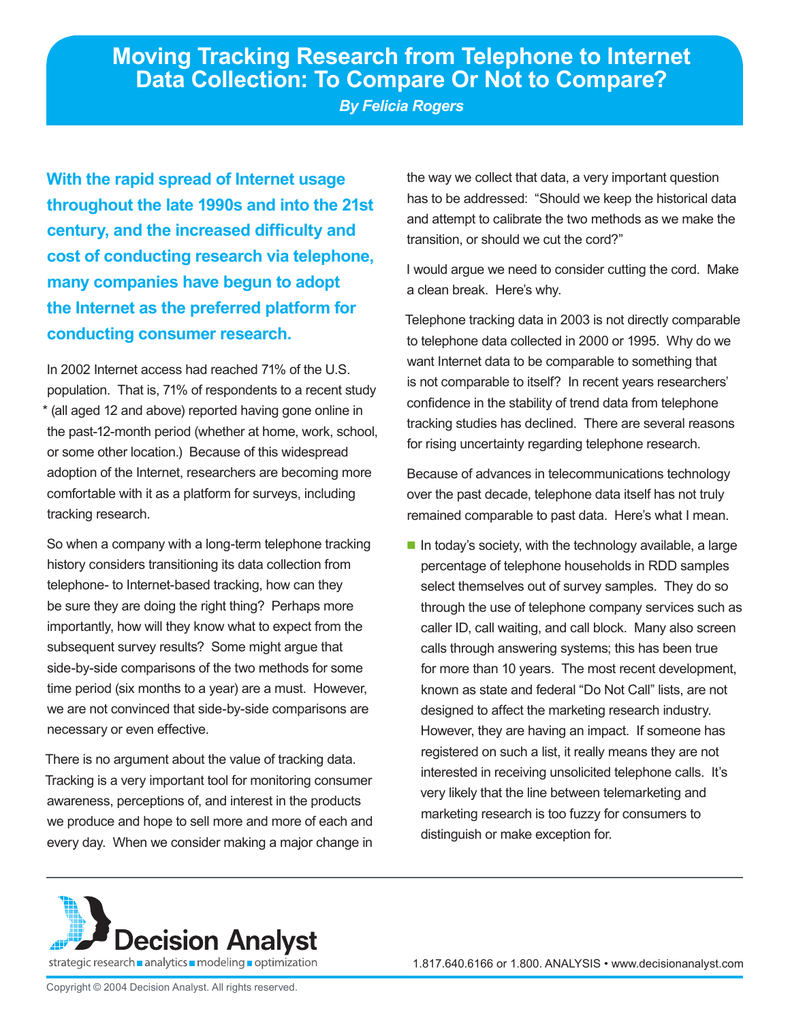*By Felicia Rogers*

**With the rapid spread of Internet usage throughout the late 1990s and into the 21st century, and the increased difficulty and cost of conducting research via telephone, many companies have begun to adopt the Internet as the preferred platform for conducting consumer research.** 

In 2002 Internet access had reached 71% of the U.S. population. That is, 71% of respondents to a recent study \* (all aged 12 and above) reported having gone online in the past-12-month period (whether at home, work, school, or some other location.) Because of this widespread adoption of the Internet, researchers are becoming more comfortable with it as a platform for surveys, including tracking research.

So when a company with a long-term telephone tracking history considers transitioning its data collection from telephone- to Internet-based tracking, how can they be sure they are doing the right thing? Perhaps more importantly, how will they know what to expect from the subsequent survey results? Some might argue that side-by-side comparisons of the two methods for some time period (six months to a year) are a must. However, we are not convinced that side-by-side comparisons are necessary or even effective.

There is no argument about the value of tracking data. Tracking is a very important tool for monitoring consumer awareness, perceptions of, and interest in the products we produce and hope to sell more and more of each and every day. When we consider making a major change in

the way we collect that data, a very important question has to be addressed: "Should we keep the historical data and attempt to calibrate the two methods as we make the transition, or should we cut the cord?"

I would argue we need to consider cutting the cord. Make a clean break. Here's why.

Telephone tracking data in 2003 is not directly comparable to telephone data collected in 2000 or 1995. Why do we want Internet data to be comparable to something that is not comparable to itself? In recent years researchers' confidence in the stability of trend data from telephone tracking studies has declined. There are several reasons for rising uncertainty regarding telephone research.

Because of advances in telecommunications technology over the past decade, telephone data itself has not truly remained comparable to past data. Here's what I mean.

 $\blacksquare$  In today's society, with the technology available, a large percentage of telephone households in RDD samples select themselves out of survey samples. They do so through the use of telephone company services such as caller ID, call waiting, and call block. Many also screen calls through answering systems; this has been true for more than 10 years. The most recent development, known as state and federal "Do Not Call" lists, are not designed to affect the marketing research industry. However, they are having an impact. If someone has registered on such a list, it really means they are not interested in receiving unsolicited telephone calls. It's very likely that the line between telemarketing and marketing research is too fuzzy for consumers to distinguish or make exception for.

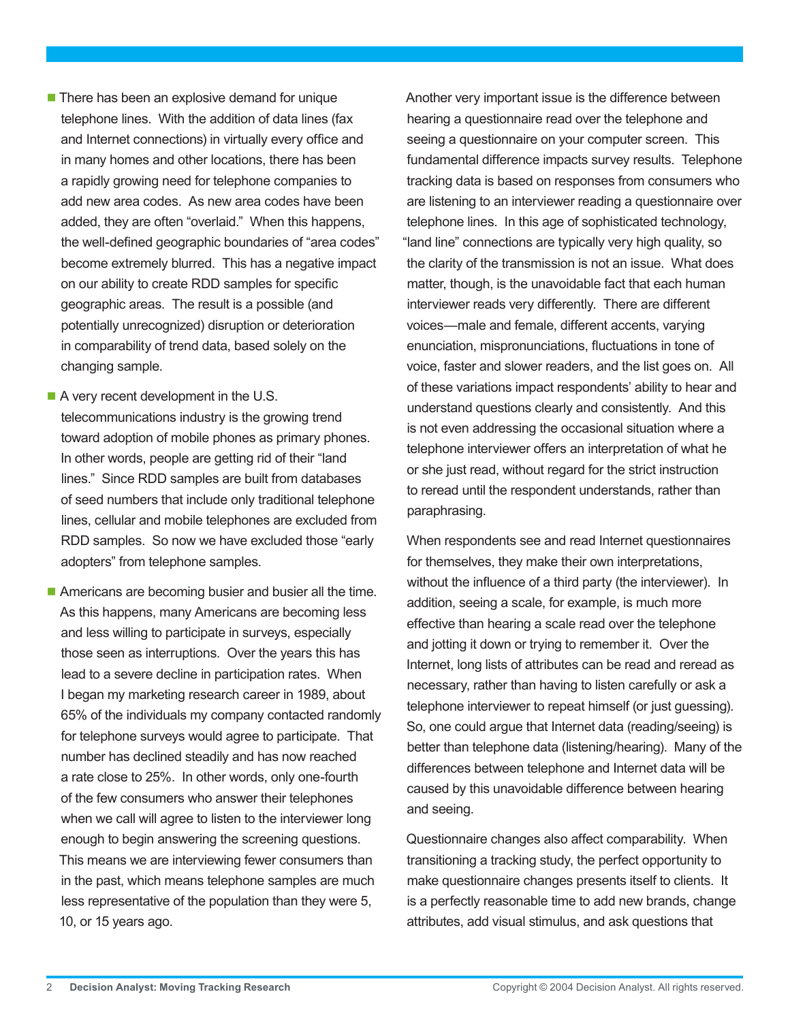■ There has been an explosive demand for unique telephone lines. With the addition of data lines (fax and Internet connections) in virtually every office and in many homes and other locations, there has been a rapidly growing need for telephone companies to add new area codes. As new area codes have been added, they are often "overlaid." When this happens, the well-defined geographic boundaries of "area codes" become extremely blurred. This has a negative impact on our ability to create RDD samples for specific geographic areas. The result is a possible (and potentially unrecognized) disruption or deterioration in comparability of trend data, based solely on the changing sample.

- A very recent development in the U.S. telecommunications industry is the growing trend toward adoption of mobile phones as primary phones. In other words, people are getting rid of their "land lines." Since RDD samples are built from databases of seed numbers that include only traditional telephone lines, cellular and mobile telephones are excluded from RDD samples. So now we have excluded those "early adopters" from telephone samples.
- Americans are becoming busier and busier all the time. As this happens, many Americans are becoming less and less willing to participate in surveys, especially those seen as interruptions. Over the years this has lead to a severe decline in participation rates. When I began my marketing research career in 1989, about 65% of the individuals my company contacted randomly for telephone surveys would agree to participate. That number has declined steadily and has now reached a rate close to 25%. In other words, only one-fourth of the few consumers who answer their telephones when we call will agree to listen to the interviewer long enough to begin answering the screening questions. This means we are interviewing fewer consumers than in the past, which means telephone samples are much less representative of the population than they were 5, 10, or 15 years ago.

Another very important issue is the difference between hearing a questionnaire read over the telephone and seeing a questionnaire on your computer screen. This fundamental difference impacts survey results. Telephone tracking data is based on responses from consumers who are listening to an interviewer reading a questionnaire over telephone lines. In this age of sophisticated technology, "land line" connections are typically very high quality, so the clarity of the transmission is not an issue. What does matter, though, is the unavoidable fact that each human interviewer reads very differently. There are different voices—male and female, different accents, varying enunciation, mispronunciations, fluctuations in tone of voice, faster and slower readers, and the list goes on. All of these variations impact respondents' ability to hear and understand questions clearly and consistently. And this is not even addressing the occasional situation where a telephone interviewer offers an interpretation of what he or she just read, without regard for the strict instruction to reread until the respondent understands, rather than paraphrasing.

When respondents see and read Internet questionnaires for themselves, they make their own interpretations, without the influence of a third party (the interviewer). In addition, seeing a scale, for example, is much more effective than hearing a scale read over the telephone and jotting it down or trying to remember it. Over the Internet, long lists of attributes can be read and reread as necessary, rather than having to listen carefully or ask a telephone interviewer to repeat himself (or just guessing). So, one could argue that Internet data (reading/seeing) is better than telephone data (listening/hearing). Many of the differences between telephone and Internet data will be caused by this unavoidable difference between hearing and seeing.

Questionnaire changes also affect comparability. When transitioning a tracking study, the perfect opportunity to make questionnaire changes presents itself to clients. It is a perfectly reasonable time to add new brands, change attributes, add visual stimulus, and ask questions that